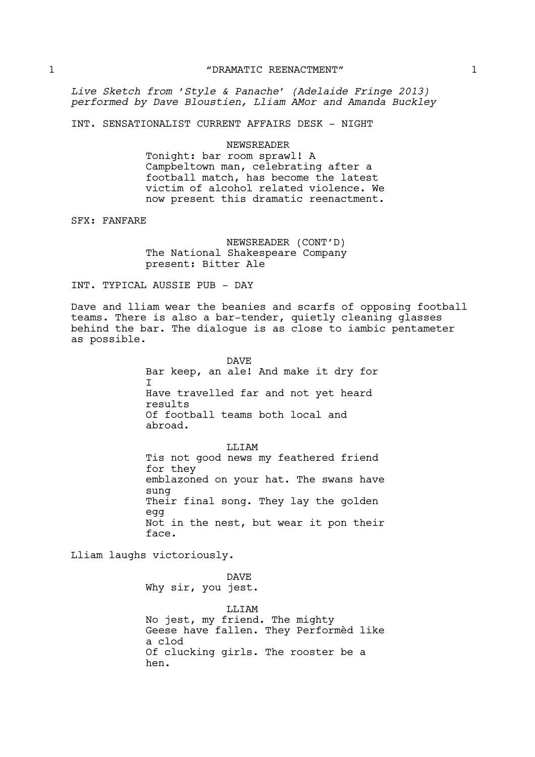*Live Sketch from 'Style & Panache' (Adelaide Fringe 2013) performed by Dave Bloustien, Lliam AMor and Amanda Buckley*

INT. SENSATIONALIST CURRENT AFFAIRS DESK - NIGHT

### NEWSREADER

Tonight: bar room sprawl! A Campbeltown man, celebrating after a football match, has become the latest victim of alcohol related violence. We now present this dramatic reenactment.

SFX: FANFARE

NEWSREADER (CONT'D) The National Shakespeare Company present: Bitter Ale

## INT. TYPICAL AUSSIE PUB - DAY

Dave and lliam wear the beanies and scarfs of opposing football teams. There is also a bar-tender, quietly cleaning glasses behind the bar. The dialogue is as close to iambic pentameter as possible.

> DAVE Bar keep, an ale! And make it dry for  $\mathsf{T}$ Have travelled far and not yet heard results Of football teams both local and abroad.

LLIAM Tis not good news my feathered friend for they emblazoned on your hat. The swans have sung Their final song. They lay the golden egg Not in the nest, but wear it pon their face.

Lliam laughs victoriously.

DAVE Why sir, you jest. **T.T.TAM** No jest, my friend. The mighty

Geese have fallen. They Performèd like a clod Of clucking girls. The rooster be a hen.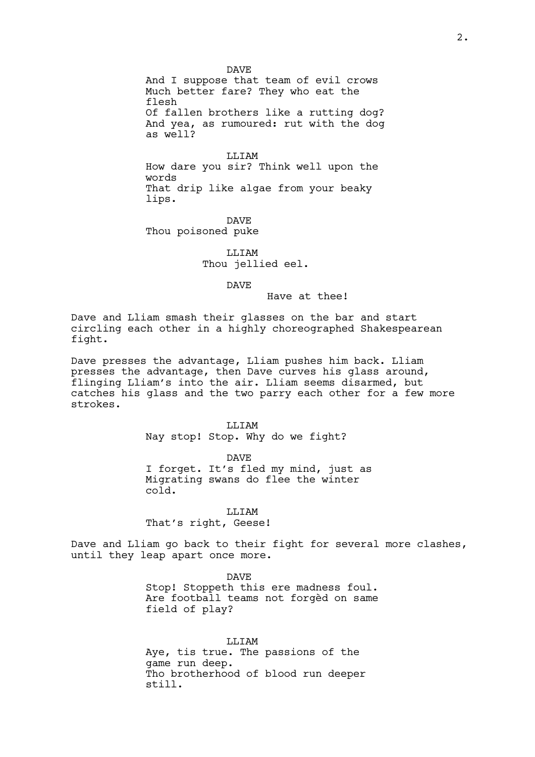DAVE And I suppose that team of evil crows Much better fare? They who eat the flesh Of fallen brothers like a rutting dog? And yea, as rumoured: rut with the dog as well?

LLIAM How dare you sir? Think well upon the words That drip like algae from your beaky lips.

DAVE Thou poisoned puke

> LLIAM Thou jellied eel.

> > DAVE

Have at thee!

Dave and Lliam smash their glasses on the bar and start circling each other in a highly choreographed Shakespearean fight.

Dave presses the advantage, Lliam pushes him back. Lliam presses the advantage, then Dave curves his glass around, flinging Lliam's into the air. Lliam seems disarmed, but catches his glass and the two parry each other for a few more strokes.

> LLIAM Nay stop! Stop. Why do we fight?

DAVE I forget. It's fled my mind, just as Migrating swans do flee the winter cold.

LLIAM

That's right, Geese!

Dave and Lliam go back to their fight for several more clashes, until they leap apart once more.

> DAVE Stop! Stoppeth this ere madness foul. Are football teams not forgèd on same field of play?

LLIAM Aye, tis true. The passions of the game run deep. Tho brotherhood of blood run deeper still.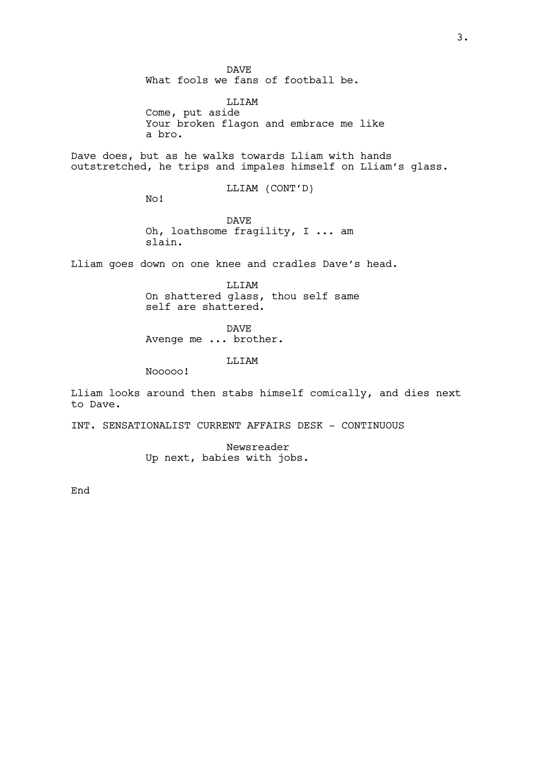DAVE What fools we fans of football be.

LLIAM Come, put aside Your broken flagon and embrace me like a bro.

Dave does, but as he walks towards Lliam with hands outstretched, he trips and impales himself on Lliam's glass.

LLIAM (CONT'D)

No!

DAVE Oh, loathsome fragility, I ... am slain.

Lliam goes down on one knee and cradles Dave's head.

LLIAM On shattered glass, thou self same self are shattered.

DAVE

Avenge me ... brother.

LLIAM

Nooooo!

Lliam looks around then stabs himself comically, and dies next to Dave.

INT. SENSATIONALIST CURRENT AFFAIRS DESK - CONTINUOUS

Newsreader Up next, babies with jobs.

End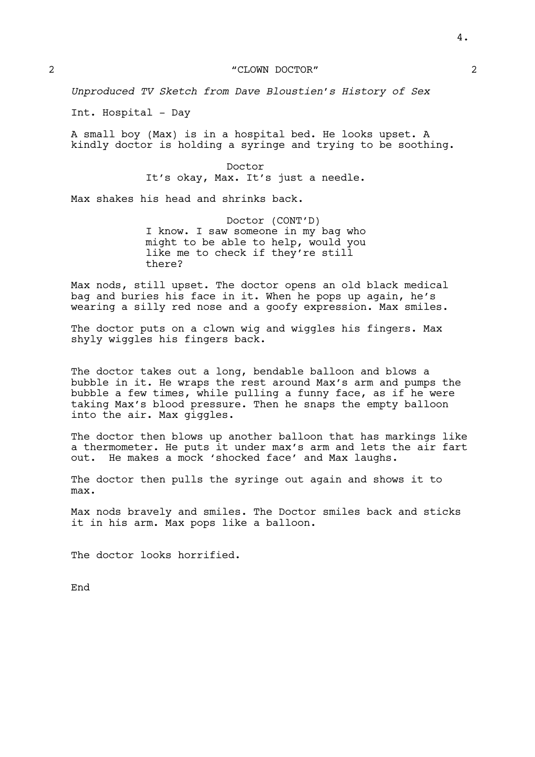*Unproduced TV Sketch from Dave Bloustien's History of Sex*

Int. Hospital - Day

A small boy (Max) is in a hospital bed. He looks upset. A kindly doctor is holding a syringe and trying to be soothing.

> Doctor It's okay, Max. It's just a needle.

Max shakes his head and shrinks back.

Doctor (CONT'D) I know. I saw someone in my bag who might to be able to help, would you like me to check if they're still there?

Max nods, still upset. The doctor opens an old black medical bag and buries his face in it. When he pops up again, he's wearing a silly red nose and a goofy expression. Max smiles.

The doctor puts on a clown wig and wiggles his fingers. Max shyly wiggles his fingers back.

The doctor takes out a long, bendable balloon and blows a bubble in it. He wraps the rest around Max's arm and pumps the bubble a few times, while pulling a funny face, as if he were taking Max's blood pressure. Then he snaps the empty balloon into the air. Max giggles.

The doctor then blows up another balloon that has markings like a thermometer. He puts it under max's arm and lets the air fart out. He makes a mock 'shocked face' and Max laughs.

The doctor then pulls the syringe out again and shows it to max.

Max nods bravely and smiles. The Doctor smiles back and sticks it in his arm. Max pops like a balloon.

The doctor looks horrified.

End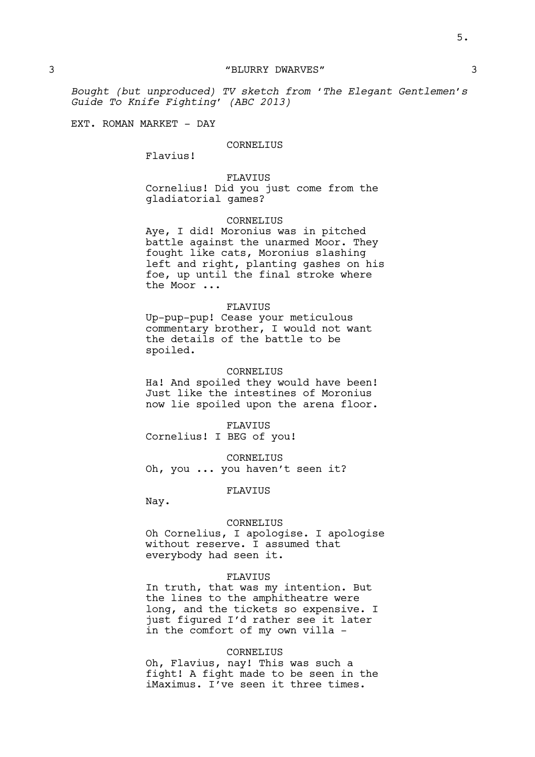*Bought (but unproduced) TV sketch from 'The Elegant Gentlemen's Guide To Knife Fighting' (ABC 2013)*

EXT. ROMAN MARKET - DAY

### CORNELIUS

Flavius!

### FLAVIUS

Cornelius! Did you just come from the gladiatorial games?

### CORNELIUS

Aye, I did! Moronius was in pitched battle against the unarmed Moor. They fought like cats, Moronius slashing left and right, planting gashes on his foe, up until the final stroke where the Moor ...

#### FLAVIUS

Up-pup-pup! Cease your meticulous commentary brother, I would not want the details of the battle to be spoiled.

# CORNELIUS

Ha! And spoiled they would have been! Just like the intestines of Moronius now lie spoiled upon the arena floor.

FLAVIUS Cornelius! I BEG of you!

CORNELIUS Oh, you ... you haven't seen it?

### FLAVIUS

Nay.

### CORNELIUS

Oh Cornelius, I apologise. I apologise without reserve. I assumed that everybody had seen it.

#### FLAVIUS

In truth, that was my intention. But the lines to the amphitheatre were long, and the tickets so expensive. I just figured I'd rather see it later in the comfort of my own villa -

## CORNELIUS

Oh, Flavius, nay! This was such a fight! A fight made to be seen in the iMaximus. I've seen it three times.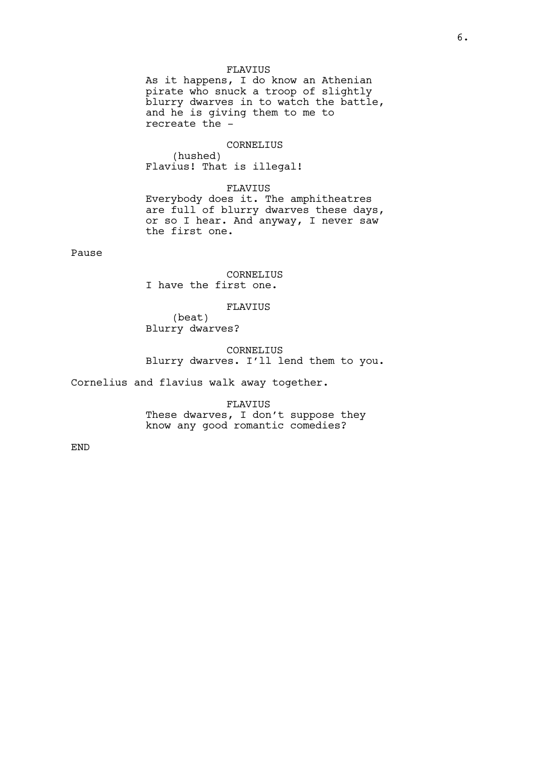## FLAVIUS

As it happens, I do know an Athenian pirate who snuck a troop of slightly blurry dwarves in to watch the battle, and he is giving them to me to recreate the -

## CORNELIUS

(hushed) Flavius! That is illegal!

#### FLAVIUS

Everybody does it. The amphitheatres are full of blurry dwarves these days, or so I hear. And anyway, I never saw the first one.

# Pause

CORNELIUS I have the first one.

#### FLAVIUS

(beat) Blurry dwarves?

# CORNELIUS Blurry dwarves. I'll lend them to you.

Cornelius and flavius walk away together.

FLAVIUS These dwarves, I don't suppose they know any good romantic comedies?

END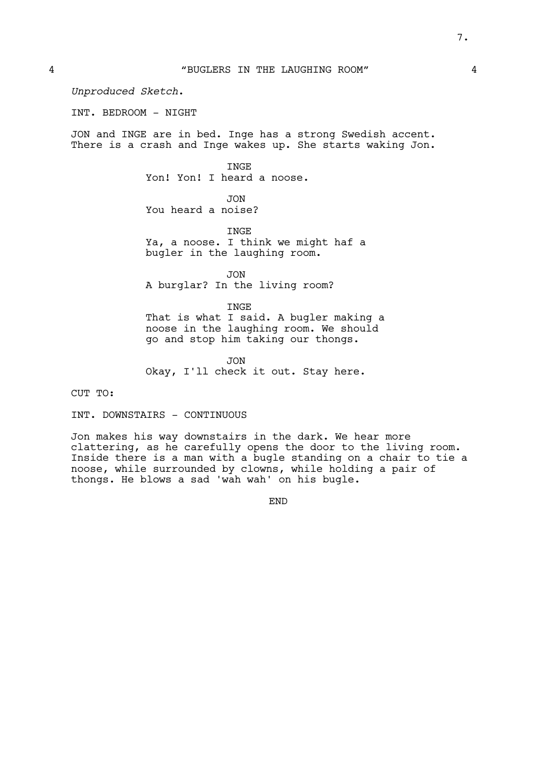*Unproduced Sketch*.

INT. BEDROOM - NIGHT

JON and INGE are in bed. Inge has a strong Swedish accent. There is a crash and Inge wakes up. She starts waking Jon.

> INGE Yon! Yon! I heard a noose.

JON You heard a noise?

INGE Ya, a noose. I think we might haf a bugler in the laughing room.

JON A burglar? In the living room?

INGE

That is what I said. A bugler making a noose in the laughing room. We should go and stop him taking our thongs.

JON Okay, I'll check it out. Stay here.

CUT TO:

INT. DOWNSTAIRS - CONTINUOUS

Jon makes his way downstairs in the dark. We hear more clattering, as he carefully opens the door to the living room. Inside there is a man with a bugle standing on a chair to tie a noose, while surrounded by clowns, while holding a pair of thongs. He blows a sad 'wah wah' on his bugle.

END

7.